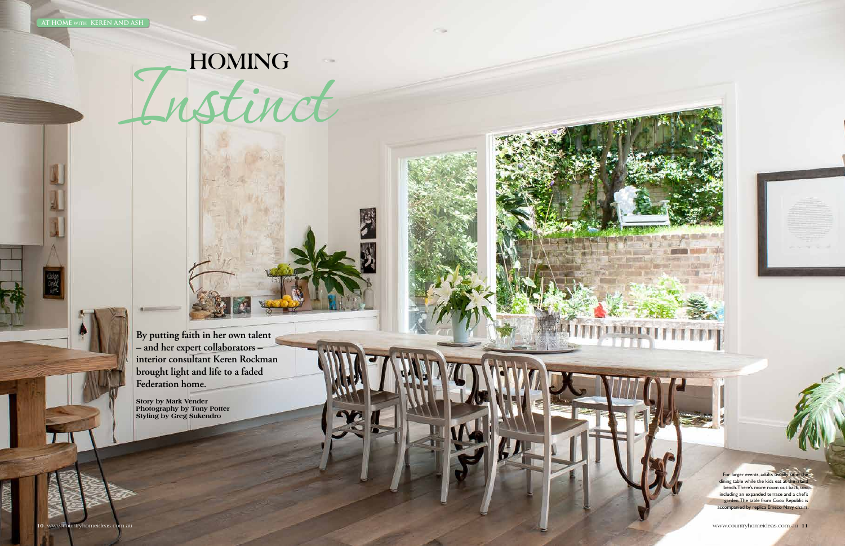**By putting faith in her own talent – and her expert collaborators – interior consultant Keren Rockman brought light and life to a faded Federation home.**

**Story by Mark Vender Photography by Tony Potter Styling by Greg Sukendro**

For larger events, adults usually sit at the dining table while the kids eat at the island bench. There's more room out back, too, including an expanded terrace and a chef's garden. The table from Coco Republic is accompanied by replica Emeco Navy chairs.

# HOMING

**COM**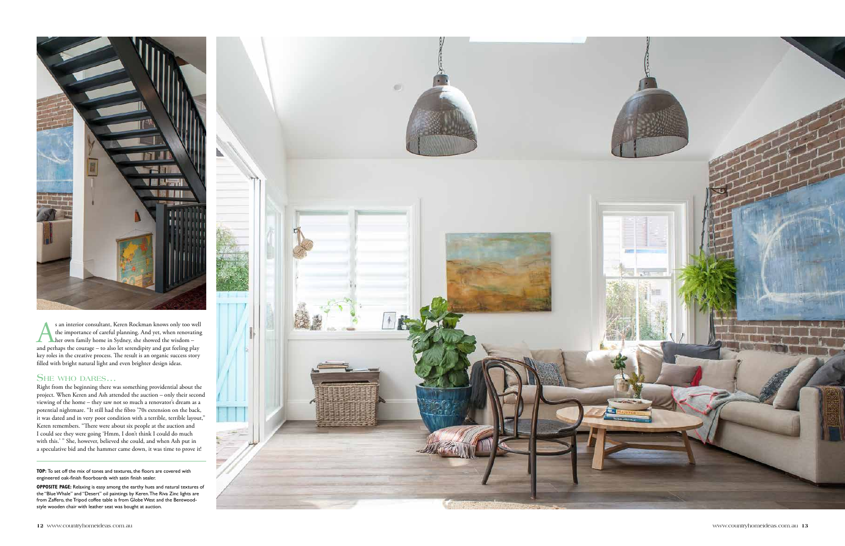

s an interior consultant, Keren Rockman knows only too well<br>the importance of careful planning. And yet, when renovating<br>her own family home in Sydney, she showed the wisdom –<br>and perhaps the courage – to also let serendip the importance of careful planning. And yet, when renovating her own family home in Sydney, she showed the wisdom – and perhaps the courage – to also let serendipity and gut feeling play key roles in the creative process. The result is an organic success story filled with bright natural light and even brighter design ideas.

### **She who dares...**

**TOP:** To set off the mix of tones and textures, the floors are covered with engineered oak-finish floorboards with satin finish sealer.

Right from the beginning there was something providential about the project. When Keren and Ash attended the auction – only their second viewing of the home – they saw not so much a renovator's dream as a potential nightmare. "It still had the fibro '70s extension on the back, it was dated and in very poor condition with a terrible, terrible layout," Keren remembers. "There were about six people at the auction and I could see they were going 'Hmm, I don't think I could do much with this.' " She, however, believed she could, and when Ash put in a speculative bid and the hammer came down, it was time to prove it!

**opposite page:** Relaxing is easy among the earthy hues and natural textures of the "Blue Whale" and "Desert" oil paintings by Keren. The Riva Zinc lights are from Zaffero, the Tripod coffee table is from Globe West and the Bentwoodstyle wooden chair with leather seat was bought at auction.

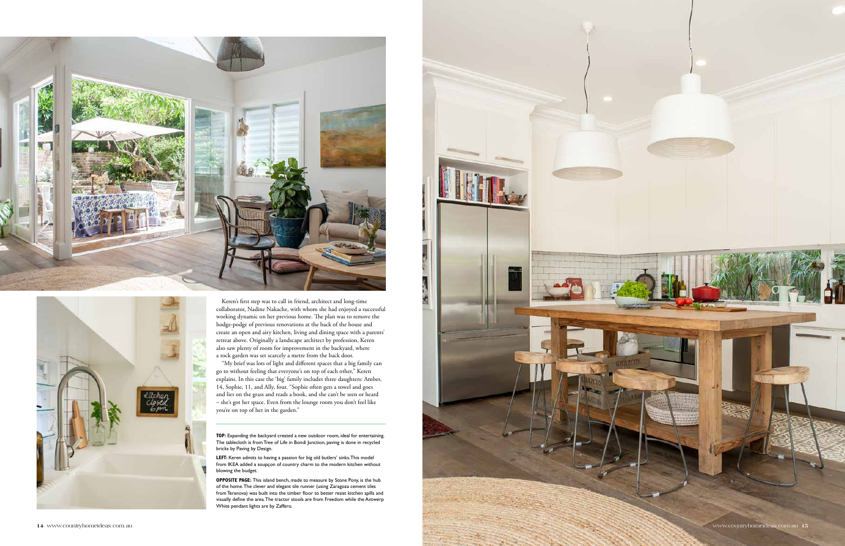



Keren's first step was to call in friend, architect and long-time collaborator, Nadine Nakache, with whom she had enjoyed a successful working dynamic on her previous home. The plan was to remove the hodge-podge of previous renovations at the back of the house and create an open and airy kitchen, living and dining space with a parents' retreat above. Originally a landscape architect by profession, Keren also saw plenty of room for improvement in the backyard, where a rock garden was set scarcely a metre from the back door.

LEFT: Keren admits to having a passion for big old butlers' sinks. This model from IKEA added a soupçon of country charm to the modern kitchen without blowing the budget.

"My brief was lots of light and different spaces that a big family can go to without feeling that everyone's on top of each other," Keren explains. In this case the 'big' family includes three daughters: Amber, 14, Sophie, 11, and Ally, four. "Sophie often gets a towel and goes and lies on the grass and reads a book, and she can't be seen or heard – she's got her space. Even from the lounge room you don't feel like you're on top of her in the garden."

**OPPOSITE PAGE:** This island bench, made to measure by Stone Pony, is the hub of the home. The clever and elegant tile runner (using Zaragoza cement tiles from Teranova) was built into the timber floor to better resist kitchen spills and visually define the area. The tractor stools are from Freedom while the Antwerp White pendant lights are by Zaffero.

**top:** Expanding the backyard created a new outdoor room, ideal for entertaining. The tablecloth is from Tree of Life in Bondi Junction, paving is done in recycled bricks by Paving by Design.

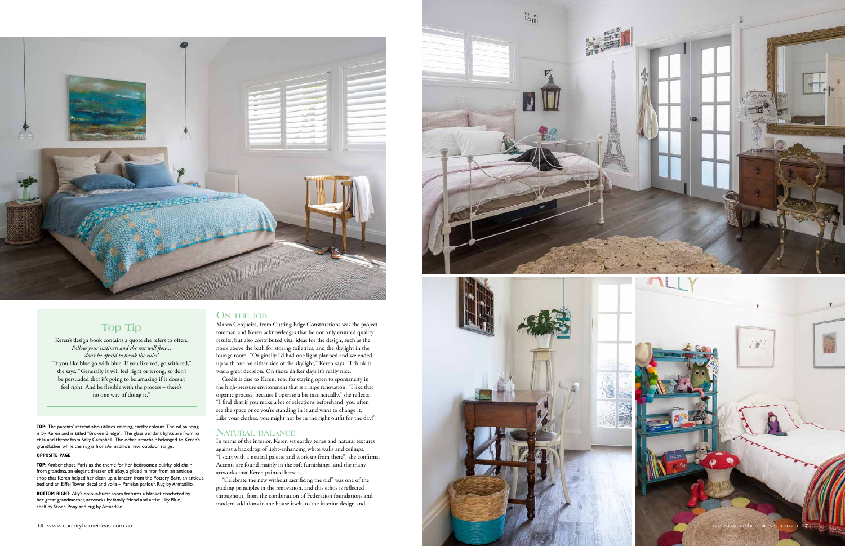## **O n the job**

Credit is due to Keren, too, for staying open to spontaneity in the high-pressure environment that is a large renovation. "I like that organic process, because I operate a bit instinctually," she reflects. "I find that if you make a lot of selections beforehand, you often see the space once you're standing in it and want to change it. Like your clothes, you might not be in the right outfit for the day!"

Marco Cerqueira, from Cutting Edge Constructions was the project foreman and Keren acknowledges that he not only ensured quality results, but also contributed vital ideas for the design, such as the nook above the bath for storing toiletries, and the skylight in the lounge room. "Originally I'd had one light planned and we ended up with one on either side of the skylight," Keren says. "I think it was a great decision. On those darker days it's really nice."

### **Natural balance**

In terms of the interior, Keren set earthy tones and natural textures against a backdrop of light-enhancing white walls and ceilings. "I start with a neutral palette and work up from there", she confirms. Accents are found mainly in the soft furnishings, and the many artworks that Keren painted herself.

**BOTTOM RIGHT:** Ally's colour-burst room features a blanket crocheted by her great grandmother, artworks by family friend and artist Lilly Blue, shelf by Stone Pony and rug by Armadillo.

"Celebrate the new without sacrificing the old" was one of the guiding principles in the renovation, and this ethos is reflected throughout, from the combination of Federation foundations and modern additions in the house itself, to the interior design and

**top:** The parents' retreat also utilises calming, earthy colours. The oil painting is by Keren and is titled "Broken Bridge". The glass pendant lights are from ici et la and throw from Sally Campbell. The ochre armchair belonged to Keren's grandfather while the rug is from Armadillo's new outdoor range.

**opposite page**

**TOP:** Amber chose Paris as the theme for her bedroom: a quirky old chair from grandma, an elegant dresser off eBay, a gilded mirror from an antique shop that Keren helped her clean up, a lantern from the Pottery Barn, an antique bed and an Eiffel Tower decal and voila – Parisian parlour. Rug by Armadillo.





Keren's design book contains a quote she refers to often: *Follow your instincts and the rest will flow... don't be afraid to break the rules!* "If you like blue go with blue. If you like red, go with red," she says. "Generally it will feel right or wrong, so don't be persuaded that it's going to be amazing if it doesn't feel right. And be flexible with the process – there's no one way of doing it."